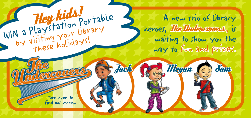